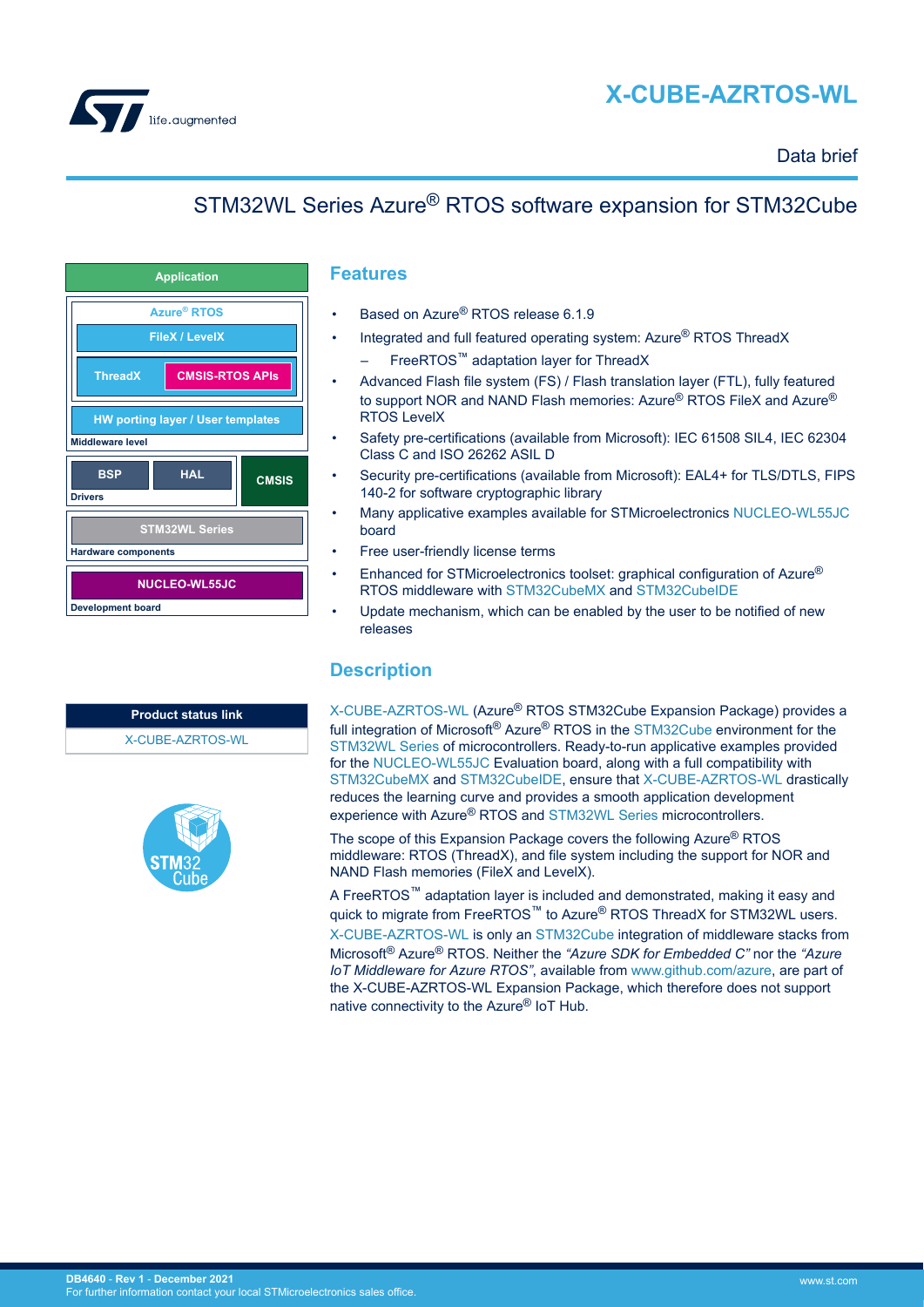

# **X-CUBE-AZRTOS-WL**

### Data brief

# STM32WL Series Azure® RTOS software expansion for STM32Cube



| <b>Product status link</b> |  |
|----------------------------|--|
| X-CUBE-AZRTOS-WL           |  |



#### **Features**

- Based on Azure® RTOS release 6.1.9
- Integrated and full featured operating system: Azure<sup>®</sup> RTOS ThreadX
	- FreeRTOS™ adaptation layer for ThreadX
- Advanced Flash file system (FS) / Flash translation layer (FTL), fully featured to support NOR and NAND Flash memories: Azure<sup>®</sup> RTOS FileX and Azure<sup>®</sup> RTOS LevelX
- Safety pre-certifications (available from Microsoft): IEC 61508 SIL4, IEC 62304 Class C and ISO 26262 ASIL D
- Security pre-certifications (available from Microsoft): EAL4+ for TLS/DTLS, FIPS 140-2 for software cryptographic library
- Many applicative examples available for STMicroelectronics [NUCLEO-WL55JC](https://www.st.com/en/product/nucleo-wl55jc?ecmp=tt9470_gl_link_feb2019&rt=db&id=DB4640) board
- Free user-friendly license terms
- Enhanced for STMicroelectronics toolset: graphical configuration of Azure<sup>®</sup> RTOS middleware with [STM32CubeMX](https://www.st.com/en/product/stm32cubemx?ecmp=tt9470_gl_link_feb2019&rt=db&id=DB4640) and [STM32CubeIDE](https://www.st.com/en/product/stm32cubeide?ecmp=tt9470_gl_link_feb2019&rt=db&id=DB4640)
- Update mechanism, which can be enabled by the user to be notified of new releases

#### **Description**

[X-CUBE-AZRTOS-WL](https://www.st.com/en/product/x-cube-azrtos-wl?ecmp=tt9470_gl_link_feb2019&rt=db&id=DB4640) (Azure® RTOS STM32Cube Expansion Package) provides a full integration of Microsoft® Azure® RTOS in the [STM32Cube](https://www.st.com/stm32cube) environment for the [STM32WL Series](https://www.st.com/en/microcontrollers-microprocessors/stm32wl-series.html) of microcontrollers. Ready-to-run applicative examples provided for the [NUCLEO-WL55JC](https://www.st.com/en/product/nucleo-wl55jc?ecmp=tt9470_gl_link_feb2019&rt=db&id=DB4640) Evaluation board, along with a full compatibility with [STM32CubeMX](https://www.st.com/en/product/stm32cubemx?ecmp=tt9470_gl_link_feb2019&rt=db&id=DB4640) and [STM32CubeIDE](https://www.st.com/en/product/stm32cubeide?ecmp=tt9470_gl_link_feb2019&rt=db&id=DB4640), ensure that [X-CUBE-AZRTOS-WL](https://www.st.com/en/product/x-cube-azrtos-wl?ecmp=tt9470_gl_link_feb2019&rt=db&id=DB4640) drastically reduces the learning curve and provides a smooth application development experience with Azure® RTOS and [STM32WL Series](https://www.st.com/en/microcontrollers-microprocessors/stm32wl-series.html) microcontrollers.

The scope of this Expansion Package covers the following Azure® RTOS middleware: RTOS (ThreadX), and file system including the support for NOR and NAND Flash memories (FileX and LevelX).

A FreeRTOS™ adaptation layer is included and demonstrated, making it easy and quick to migrate from FreeRTOS™ to Azure<sup>®</sup> RTOS ThreadX for STM32WL users.

[X-CUBE-AZRTOS-WL](https://www.st.com/en/product/x-cube-azrtos-wl?ecmp=tt9470_gl_link_feb2019&rt=db&id=DB4640) is only an [STM32Cube](https://www.st.com/stm32cube) integration of middleware stacks from Microsoft® Azure® RTOS. Neither the *"Azure SDK for Embedded C"* nor the *"Azure IoT Middleware for Azure RTOS"*, available from [www.github.com/azure](https://www.github.com/azure), are part of the X-CUBE-AZRTOS-WL Expansion Package, which therefore does not support native connectivity to the Azure® IoT Hub.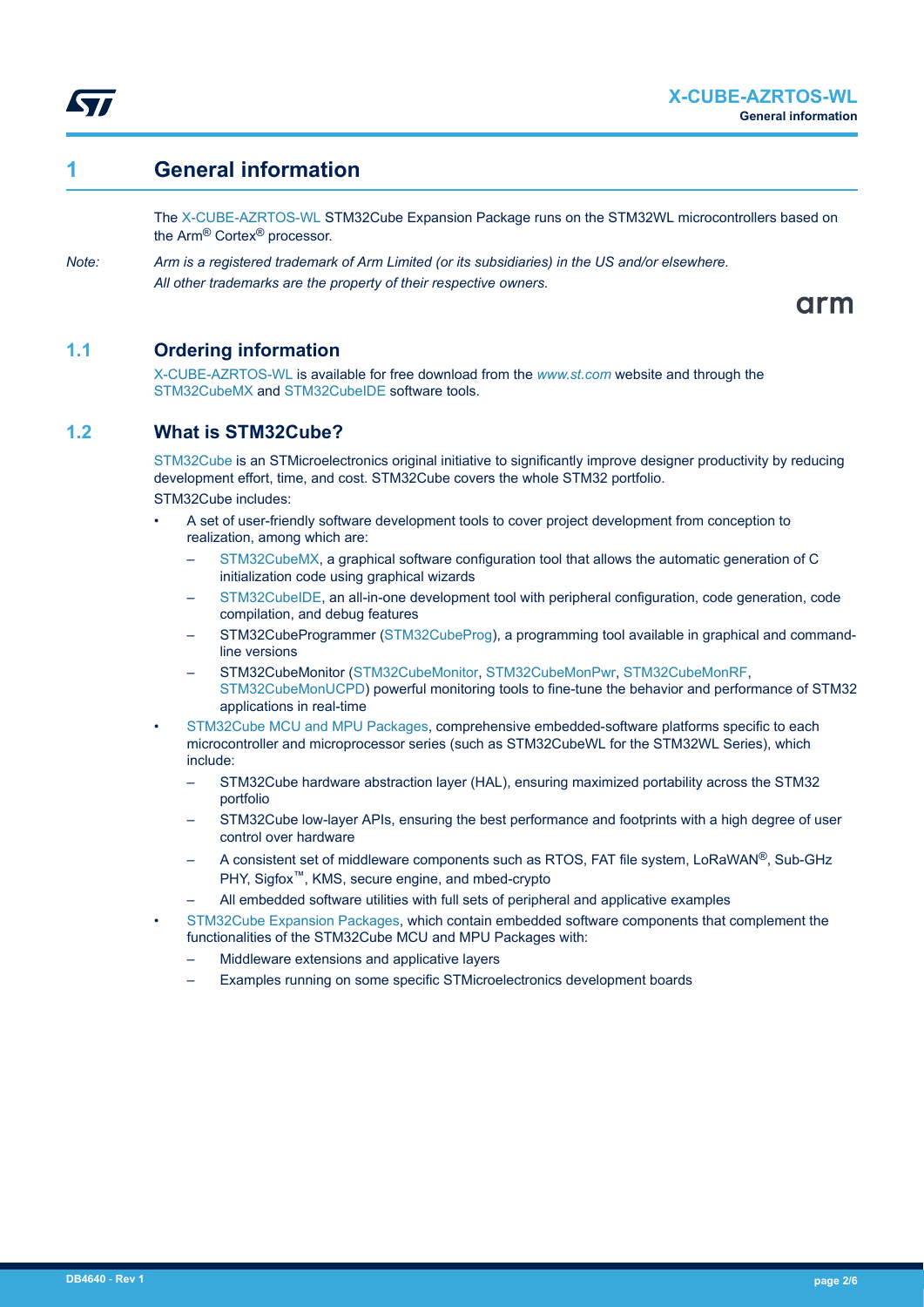

## **1 General information**

W

The [X-CUBE-AZRTOS-WL](https://www.st.com/en/product/x-cube-azrtos-wl?ecmp=tt9470_gl_link_feb2019&rt=db&id=DB4640) STM32Cube Expansion Package runs on the STM32WL microcontrollers based on the Arm® Cortex® processor.

*Note: Arm is a registered trademark of Arm Limited (or its subsidiaries) in the US and/or elsewhere. All other trademarks are the property of their respective owners.*

arm

#### **1.1 Ordering information**

[X-CUBE-AZRTOS-WL](https://www.st.com/en/product/x-cube-azrtos-wl?ecmp=tt9470_gl_link_feb2019&rt=db&id=DB4640) is available for free download from the *[www.st.com](https://www.st.com)* website and through the [STM32CubeMX](https://www.st.com/en/product/stm32cubemx?ecmp=tt9470_gl_link_feb2019&rt=db&id=DB4640) and [STM32CubeIDE](https://www.st.com/en/product/stm32cubeide?ecmp=tt9470_gl_link_feb2019&rt=db&id=DB4640) software tools.

### **1.2 What is STM32Cube?**

[STM32Cube](https://www.st.com/stm32cube) is an STMicroelectronics original initiative to significantly improve designer productivity by reducing development effort, time, and cost. STM32Cube covers the whole STM32 portfolio. STM32Cube includes:

- A set of user-friendly software development tools to cover project development from conception to realization, among which are:
	- [STM32CubeMX,](https://www.st.com/en/product/stm32cubemx?ecmp=tt9470_gl_link_feb2019&rt=db&id=DB4640) a graphical software configuration tool that allows the automatic generation of C initialization code using graphical wizards
	- [STM32CubeIDE](https://www.st.com/en/product/stm32cubeide?ecmp=tt9470_gl_link_feb2019&rt=db&id=DB4640), an all-in-one development tool with peripheral configuration, code generation, code compilation, and debug features
	- STM32CubeProgrammer ([STM32CubeProg](https://www.st.com/en/product/stm32cubeprog?ecmp=tt9470_gl_link_feb2019&rt=db&id=DB4640)), a programming tool available in graphical and commandline versions
	- STM32CubeMonitor ([STM32CubeMonitor](https://www.st.com/en/product/stm32cubemonitor?ecmp=tt9470_gl_link_feb2019&rt=db&id=DB4640), [STM32CubeMonPwr,](https://www.st.com/en/product/stm32cubemonpwr?ecmp=tt9470_gl_link_feb2019&rt=db&id=DB4640) [STM32CubeMonRF,](https://www.st.com/en/product/stm32cubemonrf?ecmp=tt9470_gl_link_feb2019&rt=db&id=DB4640) [STM32CubeMonUCPD](https://www.st.com/en/product/stm32cubemonucpd?ecmp=tt9470_gl_link_feb2019&rt=db&id=DB4640)) powerful monitoring tools to fine-tune the behavior and performance of STM32 applications in real-time
- [STM32Cube MCU and MPU Packages](https://www.st.com/en/embedded-software/stm32cube-mcu-mpu-packages.html), comprehensive embedded-software platforms specific to each microcontroller and microprocessor series (such as STM32CubeWL for the STM32WL Series), which include:
	- STM32Cube hardware abstraction layer (HAL), ensuring maximized portability across the STM32 portfolio
	- STM32Cube low-layer APIs, ensuring the best performance and footprints with a high degree of user control over hardware
	- A consistent set of middleware components such as RTOS, FAT file system, LoRaWAN®, Sub-GHz PHY, Sigfox™, KMS, secure engine, and mbed-crypto
	- All embedded software utilities with full sets of peripheral and applicative examples
	- [STM32Cube Expansion Packages,](https://www.st.com/en/embedded-software/stm32cube-expansion-packages.html) which contain embedded software components that complement the functionalities of the STM32Cube MCU and MPU Packages with:
		- Middleware extensions and applicative layers
		- Examples running on some specific STMicroelectronics development boards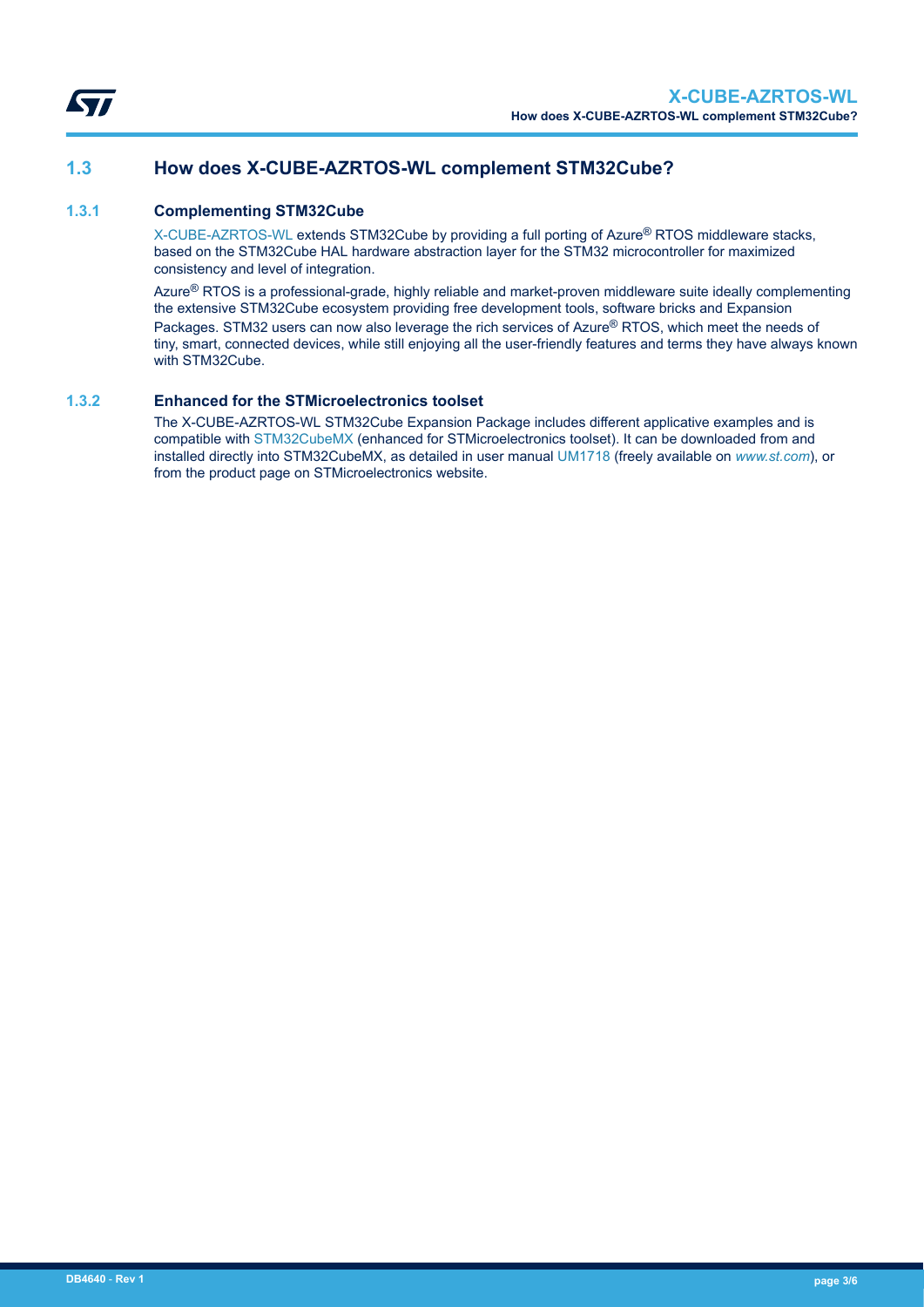

### **1.3 How does X-CUBE-AZRTOS-WL complement STM32Cube?**

#### **1.3.1 Complementing STM32Cube**

[X-CUBE-AZRTOS-WL](https://www.st.com/en/product/x-cube-azrtos-wl?ecmp=tt9470_gl_link_feb2019&rt=db&id=DB4640) extends STM32Cube by providing a full porting of Azure® RTOS middleware stacks, based on the STM32Cube HAL hardware abstraction layer for the STM32 microcontroller for maximized consistency and level of integration.

Azure<sup>®</sup> RTOS is a professional-grade, highly reliable and market-proven middleware suite ideally complementing the extensive STM32Cube ecosystem providing free development tools, software bricks and Expansion Packages. STM32 users can now also leverage the rich services of Azure<sup>®</sup> RTOS, which meet the needs of tiny, smart, connected devices, while still enjoying all the user-friendly features and terms they have always known with STM32Cube.

#### **1.3.2 Enhanced for the STMicroelectronics toolset**

The X-CUBE-AZRTOS-WL STM32Cube Expansion Package includes different applicative examples and is compatible with [STM32CubeMX](https://www.st.com/en/product/stm32cubemx?ecmp=tt9470_gl_link_feb2019&rt=db&id=DB4640) (enhanced for STMicroelectronics toolset). It can be downloaded from and installed directly into STM32CubeMX, as detailed in user manual [UM1718](https://www.st.com/resource/en/user_manual/dm00104712.pdf) (freely available on *[www.st.com](https://www.st.com)*), or from the product page on STMicroelectronics website.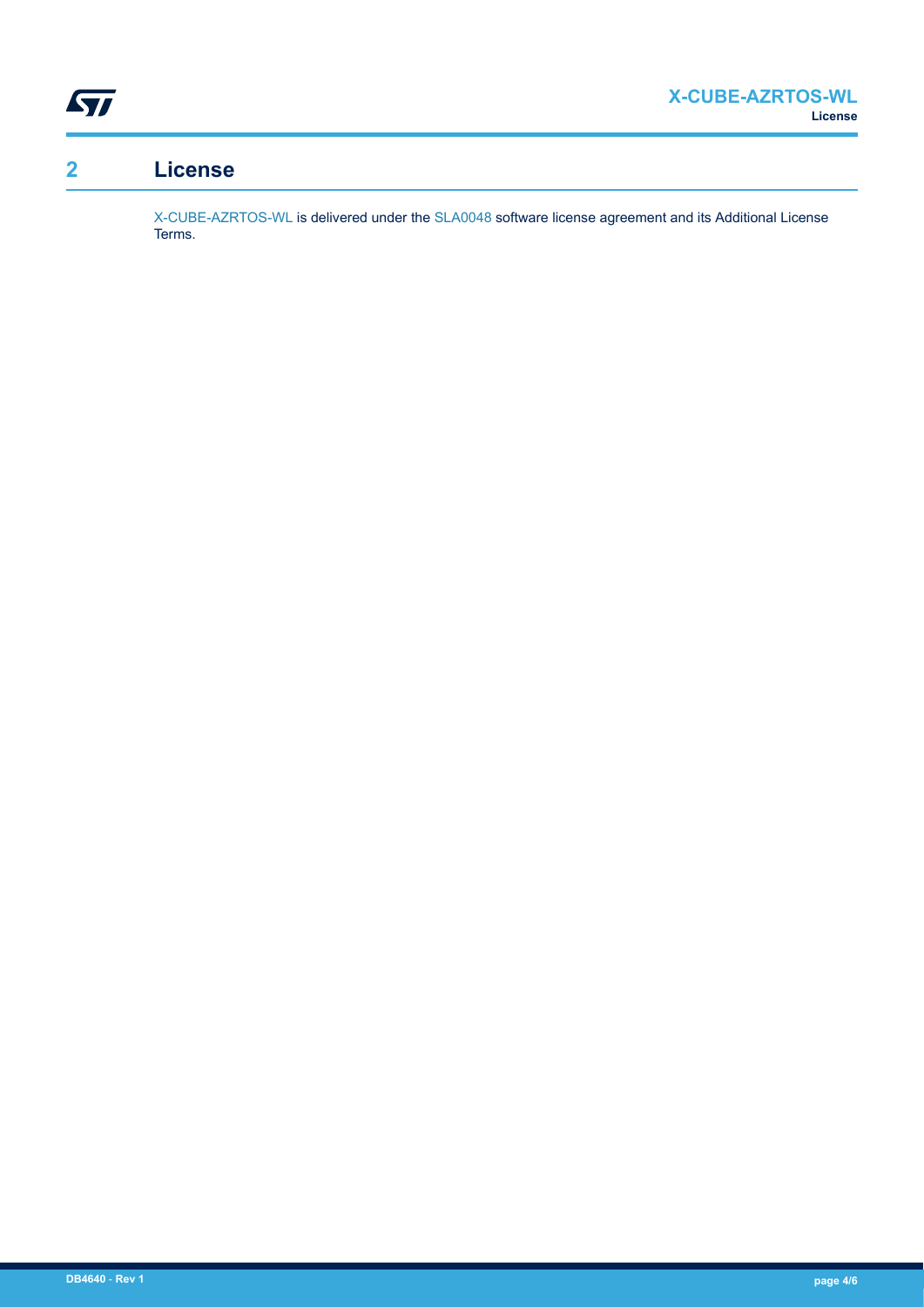

## **2 License**

[X-CUBE-AZRTOS-WL](https://www.st.com/en/product/x-cube-azrtos-wl?ecmp=tt9470_gl_link_feb2019&rt=db&id=DB4640) is delivered under the [SLA0048](https://www.st.com/sla0048) software license agreement and its Additional License Terms.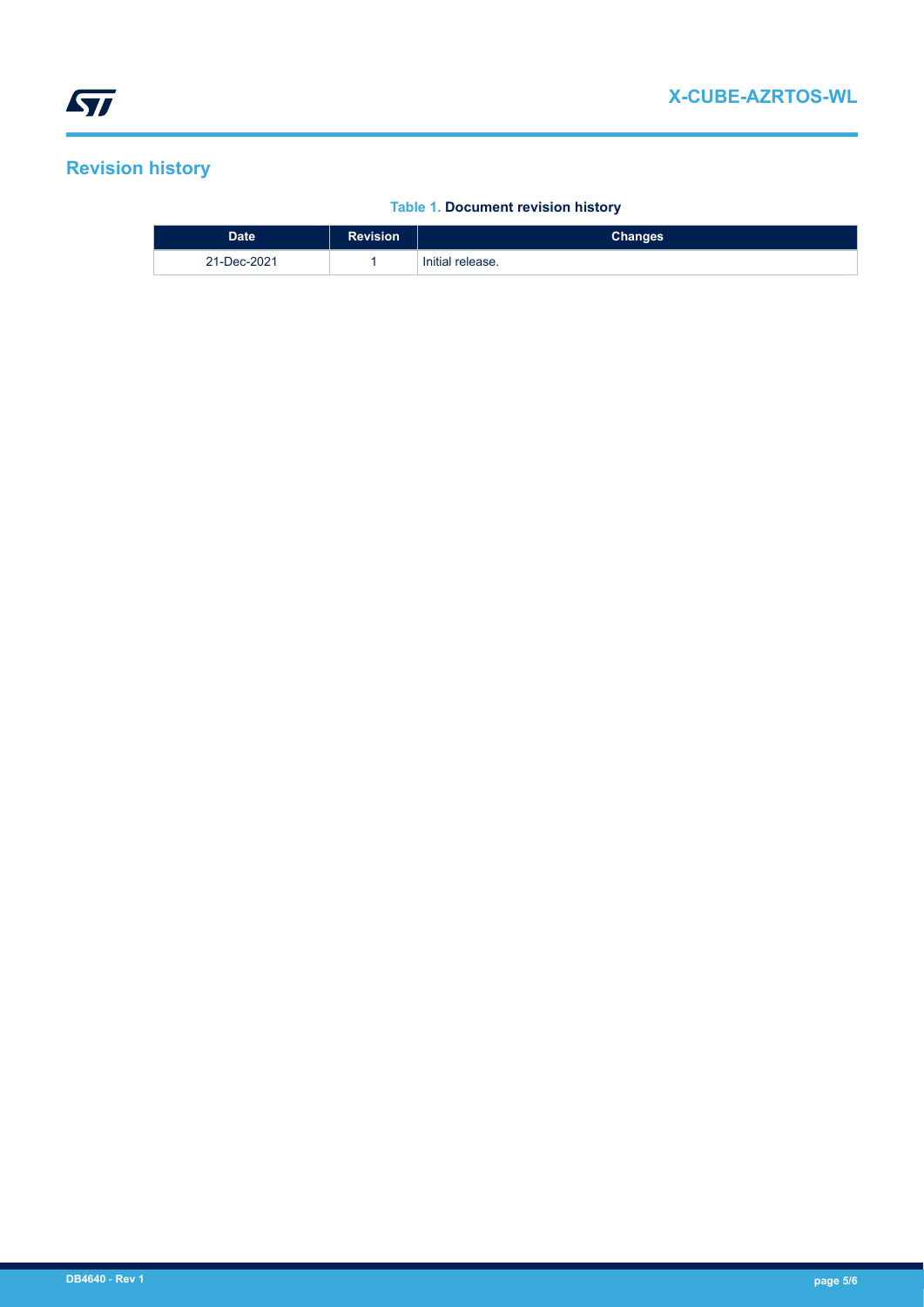## **Revision history**

#### **Table 1. Document revision history**

| <b>Date</b> | <b>Revision</b> | Changes          |
|-------------|-----------------|------------------|
| 21-Dec-2021 |                 | Initial release. |